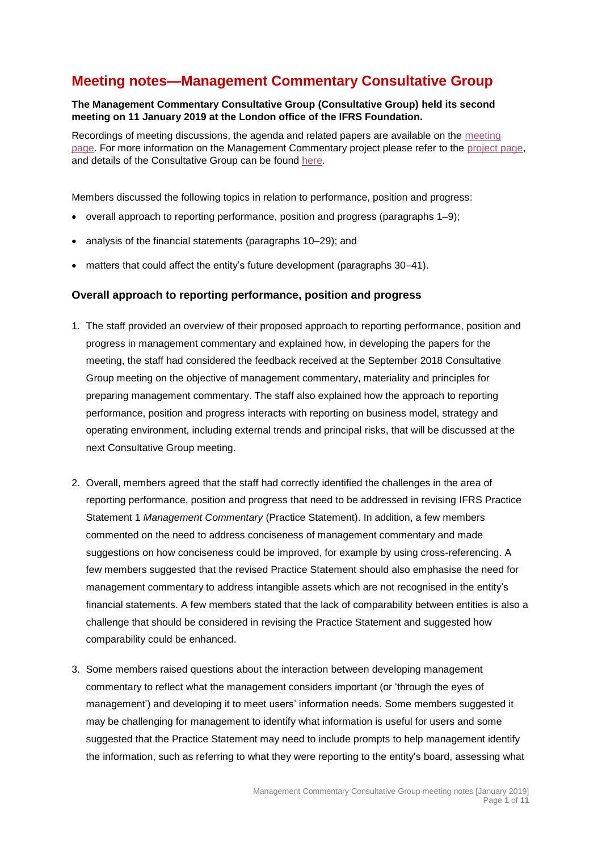# **Meeting notes—Management Commentary Consultative Group**

#### **The Management Commentary Consultative Group (Consultative Group) held its second meeting on 11 January 2019 at the London office of the IFRS Foundation.**

Recordings of meeting discussions, the agenda and related papers are available on the [meeting](https://www.ifrs.org/news-and-events/calendar/2019/january/management-commentary-consultative-group/)  [page.](https://www.ifrs.org/news-and-events/calendar/2019/january/management-commentary-consultative-group/) For more information on the Management Commentary project please refer to the [project page,](https://www.ifrs.org/projects/work-plan/management-commentary/) and details of the Consultative Group can be found [here.](https://www.ifrs.org/groups/management-commentary-consultative-group/#about)

Members discussed the following topics in relation to performance, position and progress:

- overall approach to reporting performance, position and progress (paragraphs 1–9);
- analysis of the financial statements (paragraphs 10–29); and
- matters that could affect the entity's future development (paragraphs 30–41).

### **Overall approach to reporting performance, position and progress**

- 1. The staff provided an overview of their proposed approach to reporting performance, position and progress in management commentary and explained how, in developing the papers for the meeting, the staff had considered the feedback received at the September 2018 Consultative Group meeting on the objective of management commentary, materiality and principles for preparing management commentary. The staff also explained how the approach to reporting performance, position and progress interacts with reporting on business model, strategy and operating environment, including external trends and principal risks, that will be discussed at the next Consultative Group meeting.
- 2. Overall, members agreed that the staff had correctly identified the challenges in the area of reporting performance, position and progress that need to be addressed in revising IFRS Practice Statement 1 *Management Commentary* (Practice Statement). In addition, a few members commented on the need to address conciseness of management commentary and made suggestions on how conciseness could be improved, for example by using cross-referencing. A few members suggested that the revised Practice Statement should also emphasise the need for management commentary to address intangible assets which are not recognised in the entity's financial statements. A few members stated that the lack of comparability between entities is also a challenge that should be considered in revising the Practice Statement and suggested how comparability could be enhanced.
- 3. Some members raised questions about the interaction between developing management commentary to reflect what the management considers important (or 'through the eyes of management') and developing it to meet users' information needs. Some members suggested it may be challenging for management to identify what information is useful for users and some suggested that the Practice Statement may need to include prompts to help management identify the information, such as referring to what they were reporting to the entity's board, assessing what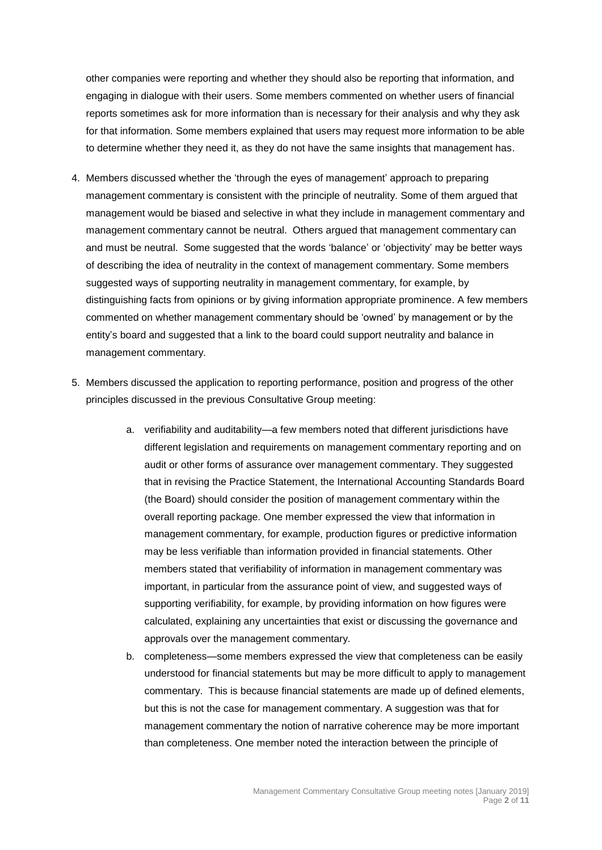other companies were reporting and whether they should also be reporting that information, and engaging in dialogue with their users. Some members commented on whether users of financial reports sometimes ask for more information than is necessary for their analysis and why they ask for that information. Some members explained that users may request more information to be able to determine whether they need it, as they do not have the same insights that management has.

- 4. Members discussed whether the 'through the eyes of management' approach to preparing management commentary is consistent with the principle of neutrality. Some of them argued that management would be biased and selective in what they include in management commentary and management commentary cannot be neutral. Others argued that management commentary can and must be neutral. Some suggested that the words 'balance' or 'objectivity' may be better ways of describing the idea of neutrality in the context of management commentary. Some members suggested ways of supporting neutrality in management commentary, for example, by distinguishing facts from opinions or by giving information appropriate prominence. A few members commented on whether management commentary should be 'owned' by management or by the entity's board and suggested that a link to the board could support neutrality and balance in management commentary.
- 5. Members discussed the application to reporting performance, position and progress of the other principles discussed in the previous Consultative Group meeting:
	- a. verifiability and auditability—a few members noted that different jurisdictions have different legislation and requirements on management commentary reporting and on audit or other forms of assurance over management commentary. They suggested that in revising the Practice Statement, the International Accounting Standards Board (the Board) should consider the position of management commentary within the overall reporting package. One member expressed the view that information in management commentary, for example, production figures or predictive information may be less verifiable than information provided in financial statements. Other members stated that verifiability of information in management commentary was important, in particular from the assurance point of view, and suggested ways of supporting verifiability, for example, by providing information on how figures were calculated, explaining any uncertainties that exist or discussing the governance and approvals over the management commentary.
	- b. completeness—some members expressed the view that completeness can be easily understood for financial statements but may be more difficult to apply to management commentary. This is because financial statements are made up of defined elements, but this is not the case for management commentary. A suggestion was that for management commentary the notion of narrative coherence may be more important than completeness. One member noted the interaction between the principle of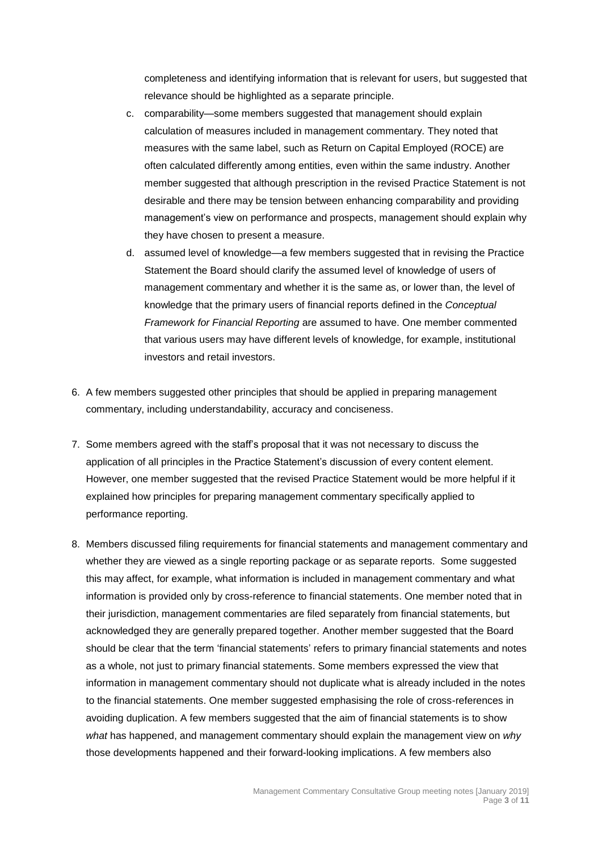completeness and identifying information that is relevant for users, but suggested that relevance should be highlighted as a separate principle.

- c. comparability—some members suggested that management should explain calculation of measures included in management commentary. They noted that measures with the same label, such as Return on Capital Employed (ROCE) are often calculated differently among entities, even within the same industry. Another member suggested that although prescription in the revised Practice Statement is not desirable and there may be tension between enhancing comparability and providing management's view on performance and prospects, management should explain why they have chosen to present a measure.
- d. assumed level of knowledge—a few members suggested that in revising the Practice Statement the Board should clarify the assumed level of knowledge of users of management commentary and whether it is the same as, or lower than, the level of knowledge that the primary users of financial reports defined in the *Conceptual Framework for Financial Reporting* are assumed to have. One member commented that various users may have different levels of knowledge, for example, institutional investors and retail investors.
- 6. A few members suggested other principles that should be applied in preparing management commentary, including understandability, accuracy and conciseness.
- 7. Some members agreed with the staff's proposal that it was not necessary to discuss the application of all principles in the Practice Statement's discussion of every content element. However, one member suggested that the revised Practice Statement would be more helpful if it explained how principles for preparing management commentary specifically applied to performance reporting.
- 8. Members discussed filing requirements for financial statements and management commentary and whether they are viewed as a single reporting package or as separate reports. Some suggested this may affect, for example, what information is included in management commentary and what information is provided only by cross-reference to financial statements. One member noted that in their jurisdiction, management commentaries are filed separately from financial statements, but acknowledged they are generally prepared together. Another member suggested that the Board should be clear that the term 'financial statements' refers to primary financial statements and notes as a whole, not just to primary financial statements. Some members expressed the view that information in management commentary should not duplicate what is already included in the notes to the financial statements. One member suggested emphasising the role of cross-references in avoiding duplication. A few members suggested that the aim of financial statements is to show *what* has happened, and management commentary should explain the management view on *why* those developments happened and their forward-looking implications. A few members also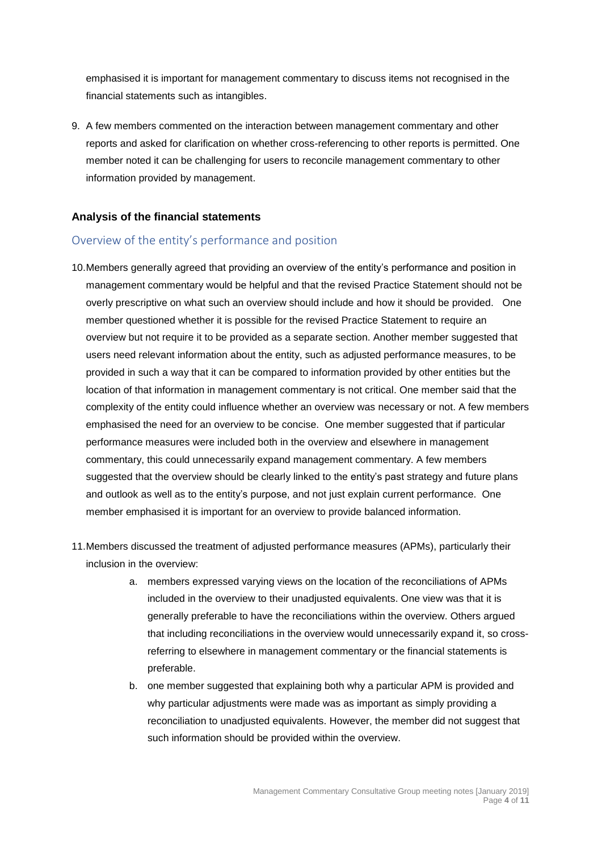emphasised it is important for management commentary to discuss items not recognised in the financial statements such as intangibles.

9. A few members commented on the interaction between management commentary and other reports and asked for clarification on whether cross-referencing to other reports is permitted. One member noted it can be challenging for users to reconcile management commentary to other information provided by management.

### **Analysis of the financial statements**

### Overview of the entity's performance and position

- 10.Members generally agreed that providing an overview of the entity's performance and position in management commentary would be helpful and that the revised Practice Statement should not be overly prescriptive on what such an overview should include and how it should be provided. One member questioned whether it is possible for the revised Practice Statement to require an overview but not require it to be provided as a separate section. Another member suggested that users need relevant information about the entity, such as adjusted performance measures, to be provided in such a way that it can be compared to information provided by other entities but the location of that information in management commentary is not critical. One member said that the complexity of the entity could influence whether an overview was necessary or not. A few members emphasised the need for an overview to be concise. One member suggested that if particular performance measures were included both in the overview and elsewhere in management commentary, this could unnecessarily expand management commentary. A few members suggested that the overview should be clearly linked to the entity's past strategy and future plans and outlook as well as to the entity's purpose, and not just explain current performance. One member emphasised it is important for an overview to provide balanced information.
- 11.Members discussed the treatment of adjusted performance measures (APMs), particularly their inclusion in the overview:
	- a. members expressed varying views on the location of the reconciliations of APMs included in the overview to their unadjusted equivalents. One view was that it is generally preferable to have the reconciliations within the overview. Others argued that including reconciliations in the overview would unnecessarily expand it, so crossreferring to elsewhere in management commentary or the financial statements is preferable.
	- b. one member suggested that explaining both why a particular APM is provided and why particular adjustments were made was as important as simply providing a reconciliation to unadjusted equivalents. However, the member did not suggest that such information should be provided within the overview.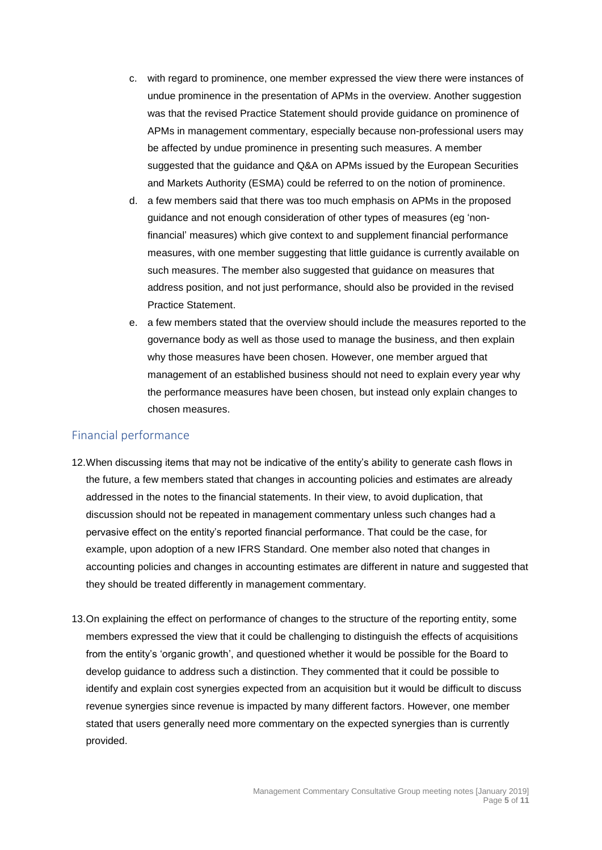- c. with regard to prominence, one member expressed the view there were instances of undue prominence in the presentation of APMs in the overview. Another suggestion was that the revised Practice Statement should provide guidance on prominence of APMs in management commentary, especially because non-professional users may be affected by undue prominence in presenting such measures. A member suggested that the guidance and Q&A on APMs issued by the European Securities and Markets Authority (ESMA) could be referred to on the notion of prominence.
- d. a few members said that there was too much emphasis on APMs in the proposed guidance and not enough consideration of other types of measures (eg 'nonfinancial' measures) which give context to and supplement financial performance measures, with one member suggesting that little guidance is currently available on such measures. The member also suggested that guidance on measures that address position, and not just performance, should also be provided in the revised Practice Statement.
- e. a few members stated that the overview should include the measures reported to the governance body as well as those used to manage the business, and then explain why those measures have been chosen. However, one member argued that management of an established business should not need to explain every year why the performance measures have been chosen, but instead only explain changes to chosen measures.

### Financial performance

- 12.When discussing items that may not be indicative of the entity's ability to generate cash flows in the future, a few members stated that changes in accounting policies and estimates are already addressed in the notes to the financial statements. In their view, to avoid duplication, that discussion should not be repeated in management commentary unless such changes had a pervasive effect on the entity's reported financial performance. That could be the case, for example, upon adoption of a new IFRS Standard. One member also noted that changes in accounting policies and changes in accounting estimates are different in nature and suggested that they should be treated differently in management commentary.
- 13.On explaining the effect on performance of changes to the structure of the reporting entity, some members expressed the view that it could be challenging to distinguish the effects of acquisitions from the entity's 'organic growth', and questioned whether it would be possible for the Board to develop guidance to address such a distinction. They commented that it could be possible to identify and explain cost synergies expected from an acquisition but it would be difficult to discuss revenue synergies since revenue is impacted by many different factors. However, one member stated that users generally need more commentary on the expected synergies than is currently provided.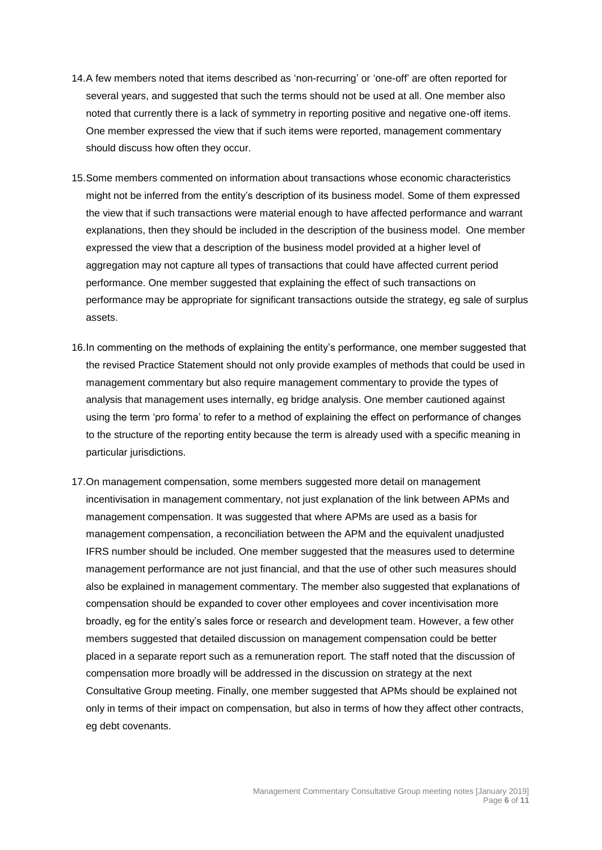- 14.A few members noted that items described as 'non-recurring' or 'one-off' are often reported for several years, and suggested that such the terms should not be used at all. One member also noted that currently there is a lack of symmetry in reporting positive and negative one-off items. One member expressed the view that if such items were reported, management commentary should discuss how often they occur.
- 15.Some members commented on information about transactions whose economic characteristics might not be inferred from the entity's description of its business model. Some of them expressed the view that if such transactions were material enough to have affected performance and warrant explanations, then they should be included in the description of the business model. One member expressed the view that a description of the business model provided at a higher level of aggregation may not capture all types of transactions that could have affected current period performance. One member suggested that explaining the effect of such transactions on performance may be appropriate for significant transactions outside the strategy, eg sale of surplus assets.
- 16.In commenting on the methods of explaining the entity's performance, one member suggested that the revised Practice Statement should not only provide examples of methods that could be used in management commentary but also require management commentary to provide the types of analysis that management uses internally, eg bridge analysis. One member cautioned against using the term 'pro forma' to refer to a method of explaining the effect on performance of changes to the structure of the reporting entity because the term is already used with a specific meaning in particular jurisdictions.
- 17.On management compensation, some members suggested more detail on management incentivisation in management commentary, not just explanation of the link between APMs and management compensation. It was suggested that where APMs are used as a basis for management compensation, a reconciliation between the APM and the equivalent unadjusted IFRS number should be included. One member suggested that the measures used to determine management performance are not just financial, and that the use of other such measures should also be explained in management commentary. The member also suggested that explanations of compensation should be expanded to cover other employees and cover incentivisation more broadly, eg for the entity's sales force or research and development team. However, a few other members suggested that detailed discussion on management compensation could be better placed in a separate report such as a remuneration report. The staff noted that the discussion of compensation more broadly will be addressed in the discussion on strategy at the next Consultative Group meeting. Finally, one member suggested that APMs should be explained not only in terms of their impact on compensation, but also in terms of how they affect other contracts, eg debt covenants.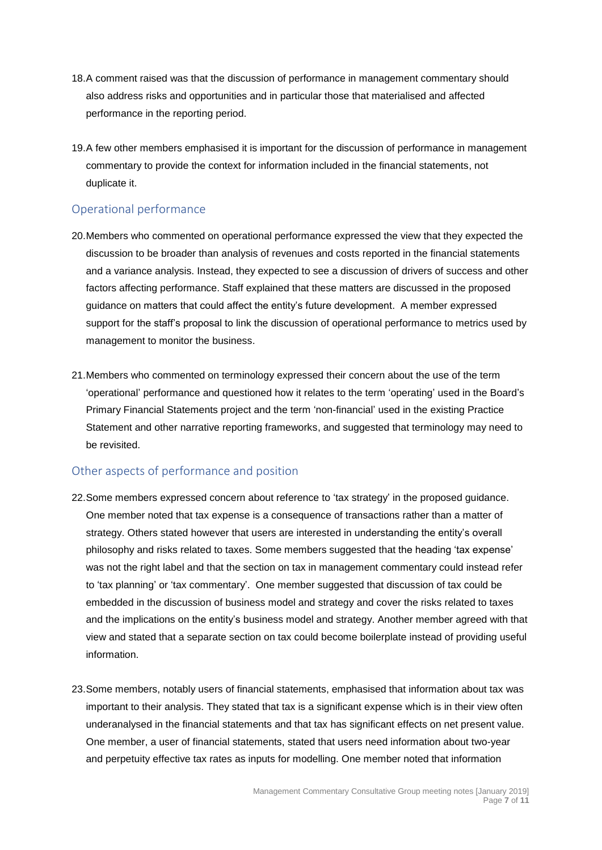- 18.A comment raised was that the discussion of performance in management commentary should also address risks and opportunities and in particular those that materialised and affected performance in the reporting period.
- 19.A few other members emphasised it is important for the discussion of performance in management commentary to provide the context for information included in the financial statements, not duplicate it.

## Operational performance

- 20.Members who commented on operational performance expressed the view that they expected the discussion to be broader than analysis of revenues and costs reported in the financial statements and a variance analysis. Instead, they expected to see a discussion of drivers of success and other factors affecting performance. Staff explained that these matters are discussed in the proposed guidance on matters that could affect the entity's future development. A member expressed support for the staff's proposal to link the discussion of operational performance to metrics used by management to monitor the business.
- 21.Members who commented on terminology expressed their concern about the use of the term 'operational' performance and questioned how it relates to the term 'operating' used in the Board's Primary Financial Statements project and the term 'non-financial' used in the existing Practice Statement and other narrative reporting frameworks, and suggested that terminology may need to be revisited.

## Other aspects of performance and position

- 22.Some members expressed concern about reference to 'tax strategy' in the proposed guidance. One member noted that tax expense is a consequence of transactions rather than a matter of strategy. Others stated however that users are interested in understanding the entity's overall philosophy and risks related to taxes. Some members suggested that the heading 'tax expense' was not the right label and that the section on tax in management commentary could instead refer to 'tax planning' or 'tax commentary'. One member suggested that discussion of tax could be embedded in the discussion of business model and strategy and cover the risks related to taxes and the implications on the entity's business model and strategy. Another member agreed with that view and stated that a separate section on tax could become boilerplate instead of providing useful information.
- 23.Some members, notably users of financial statements, emphasised that information about tax was important to their analysis. They stated that tax is a significant expense which is in their view often underanalysed in the financial statements and that tax has significant effects on net present value. One member, a user of financial statements, stated that users need information about two-year and perpetuity effective tax rates as inputs for modelling. One member noted that information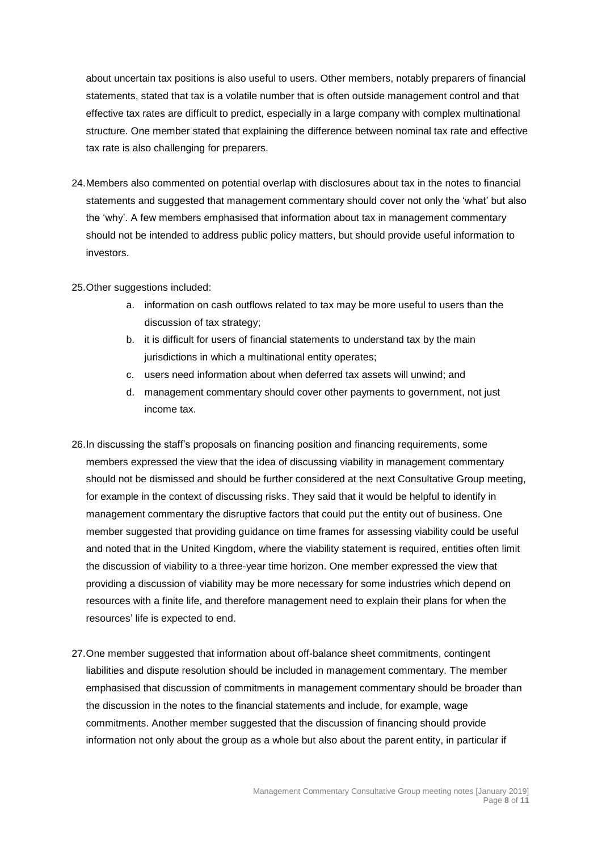about uncertain tax positions is also useful to users. Other members, notably preparers of financial statements, stated that tax is a volatile number that is often outside management control and that effective tax rates are difficult to predict, especially in a large company with complex multinational structure. One member stated that explaining the difference between nominal tax rate and effective tax rate is also challenging for preparers.

24.Members also commented on potential overlap with disclosures about tax in the notes to financial statements and suggested that management commentary should cover not only the 'what' but also the 'why'. A few members emphasised that information about tax in management commentary should not be intended to address public policy matters, but should provide useful information to investors.

25.Other suggestions included:

- a. information on cash outflows related to tax may be more useful to users than the discussion of tax strategy;
- b. it is difficult for users of financial statements to understand tax by the main jurisdictions in which a multinational entity operates;
- c. users need information about when deferred tax assets will unwind; and
- d. management commentary should cover other payments to government, not just income tax.
- 26.In discussing the staff's proposals on financing position and financing requirements, some members expressed the view that the idea of discussing viability in management commentary should not be dismissed and should be further considered at the next Consultative Group meeting, for example in the context of discussing risks. They said that it would be helpful to identify in management commentary the disruptive factors that could put the entity out of business. One member suggested that providing guidance on time frames for assessing viability could be useful and noted that in the United Kingdom, where the viability statement is required, entities often limit the discussion of viability to a three-year time horizon. One member expressed the view that providing a discussion of viability may be more necessary for some industries which depend on resources with a finite life, and therefore management need to explain their plans for when the resources' life is expected to end.
- 27.One member suggested that information about off-balance sheet commitments, contingent liabilities and dispute resolution should be included in management commentary. The member emphasised that discussion of commitments in management commentary should be broader than the discussion in the notes to the financial statements and include, for example, wage commitments. Another member suggested that the discussion of financing should provide information not only about the group as a whole but also about the parent entity, in particular if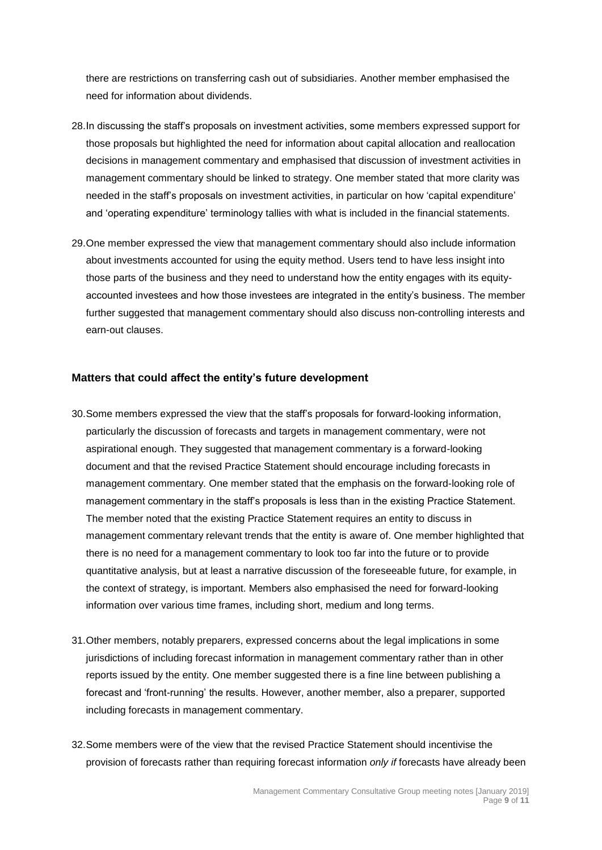there are restrictions on transferring cash out of subsidiaries. Another member emphasised the need for information about dividends.

- 28.In discussing the staff's proposals on investment activities, some members expressed support for those proposals but highlighted the need for information about capital allocation and reallocation decisions in management commentary and emphasised that discussion of investment activities in management commentary should be linked to strategy. One member stated that more clarity was needed in the staff's proposals on investment activities, in particular on how 'capital expenditure' and 'operating expenditure' terminology tallies with what is included in the financial statements.
- 29.One member expressed the view that management commentary should also include information about investments accounted for using the equity method. Users tend to have less insight into those parts of the business and they need to understand how the entity engages with its equityaccounted investees and how those investees are integrated in the entity's business. The member further suggested that management commentary should also discuss non-controlling interests and earn-out clauses.

#### **Matters that could affect the entity's future development**

- 30.Some members expressed the view that the staff's proposals for forward-looking information, particularly the discussion of forecasts and targets in management commentary, were not aspirational enough. They suggested that management commentary is a forward-looking document and that the revised Practice Statement should encourage including forecasts in management commentary. One member stated that the emphasis on the forward-looking role of management commentary in the staff's proposals is less than in the existing Practice Statement. The member noted that the existing Practice Statement requires an entity to discuss in management commentary relevant trends that the entity is aware of. One member highlighted that there is no need for a management commentary to look too far into the future or to provide quantitative analysis, but at least a narrative discussion of the foreseeable future, for example, in the context of strategy, is important. Members also emphasised the need for forward-looking information over various time frames, including short, medium and long terms.
- 31.Other members, notably preparers, expressed concerns about the legal implications in some jurisdictions of including forecast information in management commentary rather than in other reports issued by the entity. One member suggested there is a fine line between publishing a forecast and 'front-running' the results. However, another member, also a preparer, supported including forecasts in management commentary.
- 32.Some members were of the view that the revised Practice Statement should incentivise the provision of forecasts rather than requiring forecast information *only if* forecasts have already been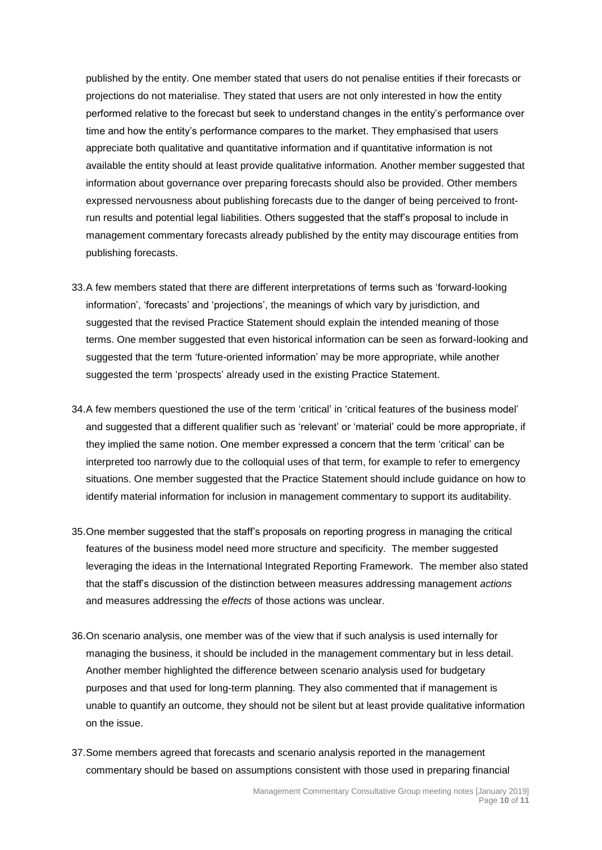published by the entity. One member stated that users do not penalise entities if their forecasts or projections do not materialise. They stated that users are not only interested in how the entity performed relative to the forecast but seek to understand changes in the entity's performance over time and how the entity's performance compares to the market. They emphasised that users appreciate both qualitative and quantitative information and if quantitative information is not available the entity should at least provide qualitative information. Another member suggested that information about governance over preparing forecasts should also be provided. Other members expressed nervousness about publishing forecasts due to the danger of being perceived to frontrun results and potential legal liabilities. Others suggested that the staff's proposal to include in management commentary forecasts already published by the entity may discourage entities from publishing forecasts.

- 33.A few members stated that there are different interpretations of terms such as 'forward-looking information', 'forecasts' and 'projections', the meanings of which vary by jurisdiction, and suggested that the revised Practice Statement should explain the intended meaning of those terms. One member suggested that even historical information can be seen as forward-looking and suggested that the term 'future-oriented information' may be more appropriate, while another suggested the term 'prospects' already used in the existing Practice Statement.
- 34.A few members questioned the use of the term 'critical' in 'critical features of the business model' and suggested that a different qualifier such as 'relevant' or 'material' could be more appropriate, if they implied the same notion. One member expressed a concern that the term 'critical' can be interpreted too narrowly due to the colloquial uses of that term, for example to refer to emergency situations. One member suggested that the Practice Statement should include guidance on how to identify material information for inclusion in management commentary to support its auditability.
- 35.One member suggested that the staff's proposals on reporting progress in managing the critical features of the business model need more structure and specificity. The member suggested leveraging the ideas in the International Integrated Reporting Framework. The member also stated that the staff's discussion of the distinction between measures addressing management *actions* and measures addressing the *effects* of those actions was unclear.
- 36.On scenario analysis, one member was of the view that if such analysis is used internally for managing the business, it should be included in the management commentary but in less detail. Another member highlighted the difference between scenario analysis used for budgetary purposes and that used for long-term planning. They also commented that if management is unable to quantify an outcome, they should not be silent but at least provide qualitative information on the issue.
- 37.Some members agreed that forecasts and scenario analysis reported in the management commentary should be based on assumptions consistent with those used in preparing financial